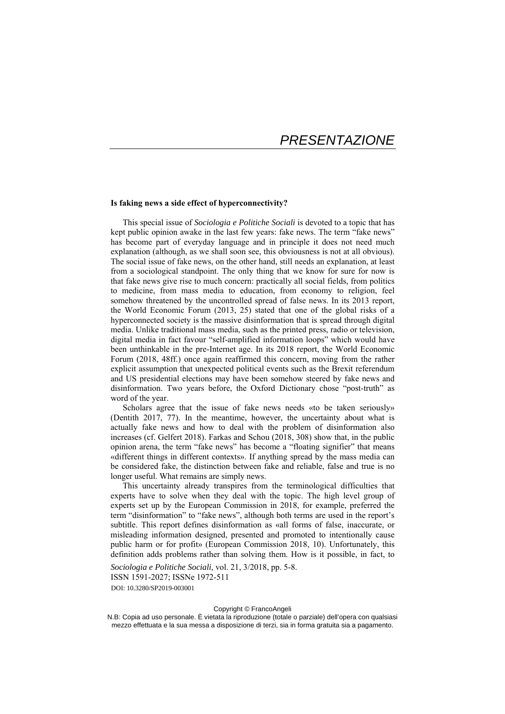## **Is faking news a side effect of hyperconnectivity?**

This special issue of *Sociologia e Politiche Sociali* is devoted to a topic that has kept public opinion awake in the last few years: fake news. The term "fake news" has become part of everyday language and in principle it does not need much explanation (although, as we shall soon see, this obviousness is not at all obvious). The social issue of fake news, on the other hand, still needs an explanation, at least from a sociological standpoint. The only thing that we know for sure for now is that fake news give rise to much concern: practically all social fields, from politics to medicine, from mass media to education, from economy to religion, feel somehow threatened by the uncontrolled spread of false news. In its 2013 report, the World Economic Forum (2013, 25) stated that one of the global risks of a hyperconnected society is the massive disinformation that is spread through digital media. Unlike traditional mass media, such as the printed press, radio or television, digital media in fact favour "self-amplified information loops" which would have been unthinkable in the pre-Internet age. In its 2018 report, the World Economic Forum (2018, 48ff.) once again reaffirmed this concern, moving from the rather explicit assumption that unexpected political events such as the Brexit referendum and US presidential elections may have been somehow steered by fake news and disinformation. Two years before, the Oxford Dictionary chose "post-truth" as word of the year.

Scholars agree that the issue of fake news needs «to be taken seriously» (Dentith 2017, 77). In the meantime, however, the uncertainty about what is actually fake news and how to deal with the problem of disinformation also increases (cf. Gelfert 2018). Farkas and Schou (2018, 308) show that, in the public opinion arena, the term "fake news" has become a "floating signifier" that means «different things in different contexts». If anything spread by the mass media can be considered fake, the distinction between fake and reliable, false and true is no longer useful. What remains are simply news.

This uncertainty already transpires from the terminological difficulties that experts have to solve when they deal with the topic. The high level group of experts set up by the European Commission in 2018, for example, preferred the term "disinformation" to "fake news", although both terms are used in the report's subtitle. This report defines disinformation as «all forms of false, inaccurate, or misleading information designed, presented and promoted to intentionally cause public harm or for profit» (European Commission 2018, 10). Unfortunately, this definition adds problems rather than solving them. How is it possible, in fact, to

*Sociologia e Politiche Sociali*, vol. 21, 3/2018, pp. 5-8. ISSN 1591-2027; ISSNe 1972-511 DOI: 10.3280/SP2019-003001

## Copyright © FrancoAngeli

N.B: Copia ad uso personale. È vietata la riproduzione (totale o parziale) dell'opera con qualsiasi mezzo effettuata e la sua messa a disposizione di terzi, sia in forma gratuita sia a pagamento.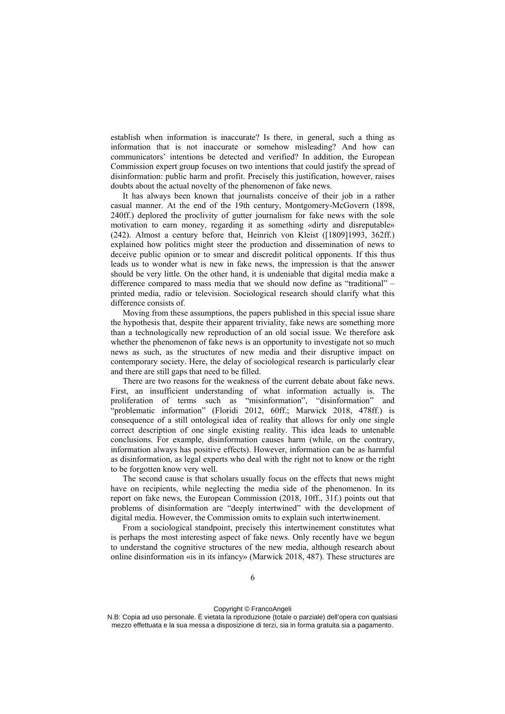establish when information is inaccurate? Is there, in general, such a thing as information that is not inaccurate or somehow misleading? And how can communicators' intentions be detected and verified? In addition, the European Commission expert group focuses on two intentions that could justify the spread of disinformation: public harm and profit. Precisely this justification, however, raises doubts about the actual novelty of the phenomenon of fake news.

It has always been known that journalists conceive of their job in a rather casual manner. At the end of the 19th century, Montgomery-McGovern (1898, 240ff.) deplored the proclivity of gutter journalism for fake news with the sole motivation to earn money, regarding it as something «dirty and disreputable» (242). Almost a century before that, Heinrich von Kleist ([1809]1993, 362ff.) explained how politics might steer the production and dissemination of news to deceive public opinion or to smear and discredit political opponents. If this thus leads us to wonder what is new in fake news, the impression is that the answer should be very little. On the other hand, it is undeniable that digital media make a difference compared to mass media that we should now define as "traditional" – printed media, radio or television. Sociological research should clarify what this difference consists of.

Moving from these assumptions, the papers published in this special issue share the hypothesis that, despite their apparent triviality, fake news are something more than a technologically new reproduction of an old social issue. We therefore ask whether the phenomenon of fake news is an opportunity to investigate not so much news as such, as the structures of new media and their disruptive impact on contemporary society. Here, the delay of sociological research is particularly clear and there are still gaps that need to be filled.

There are two reasons for the weakness of the current debate about fake news. First, an insufficient understanding of what information actually is. The proliferation of terms such as "misinformation", "disinformation" and "problematic information" (Floridi 2012, 60ff.; Marwick 2018, 478ff.) is consequence of a still ontological idea of reality that allows for only one single correct description of one single existing reality. This idea leads to untenable conclusions. For example, disinformation causes harm (while, on the contrary, information always has positive effects). However, information can be as harmful as disinformation, as legal experts who deal with the right not to know or the right to be forgotten know very well.

The second cause is that scholars usually focus on the effects that news might have on recipients, while neglecting the media side of the phenomenon. In its report on fake news, the European Commission (2018, 10ff., 31f.) points out that problems of disinformation are "deeply intertwined" with the development of digital media. However, the Commission omits to explain such intertwinement.

From a sociological standpoint, precisely this intertwinement constitutes what is perhaps the most interesting aspect of fake news. Only recently have we begun to understand the cognitive structures of the new media, although research about online disinformation «is in its infancy» (Marwick 2018, 487). These structures are

N.B: Copia ad uso personale. È vietata la riproduzione (totale o parziale) dell'opera con qualsiasi mezzo effettuata e la sua messa a disposizione di terzi, sia in forma gratuita sia a pagamento.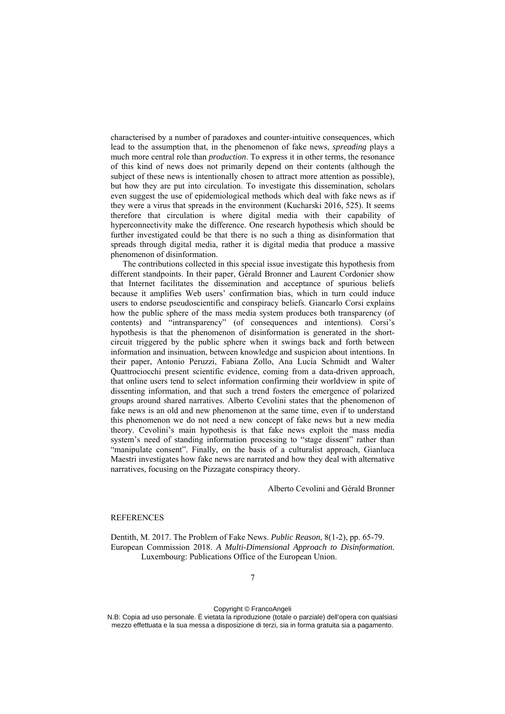characterised by a number of paradoxes and counter-intuitive consequences, which lead to the assumption that, in the phenomenon of fake news, *spreading* plays a much more central role than *production*. To express it in other terms, the resonance of this kind of news does not primarily depend on their contents (although the subject of these news is intentionally chosen to attract more attention as possible), but how they are put into circulation. To investigate this dissemination, scholars even suggest the use of epidemiological methods which deal with fake news as if they were a virus that spreads in the environment (Kucharski 2016, 525). It seems therefore that circulation is where digital media with their capability of hyperconnectivity make the difference. One research hypothesis which should be further investigated could be that there is no such a thing as disinformation that spreads through digital media, rather it is digital media that produce a massive phenomenon of disinformation.

The contributions collected in this special issue investigate this hypothesis from different standpoints. In their paper, Gérald Bronner and Laurent Cordonier show that Internet facilitates the dissemination and acceptance of spurious beliefs because it amplifies Web users' confirmation bias, which in turn could induce users to endorse pseudoscientific and conspiracy beliefs. Giancarlo Corsi explains how the public sphere of the mass media system produces both transparency (of contents) and "intransparency" (of consequences and intentions). Corsi's hypothesis is that the phenomenon of disinformation is generated in the shortcircuit triggered by the public sphere when it swings back and forth between information and insinuation, between knowledge and suspicion about intentions. In their paper, Antonio Peruzzi, Fabiana Zollo, Ana Lucía Schmidt and Walter Quattrociocchi present scientific evidence, coming from a data-driven approach, that online users tend to select information confirming their worldview in spite of dissenting information, and that such a trend fosters the emergence of polarized groups around shared narratives. Alberto Cevolini states that the phenomenon of fake news is an old and new phenomenon at the same time, even if to understand this phenomenon we do not need a new concept of fake news but a new media theory. Cevolini's main hypothesis is that fake news exploit the mass media system's need of standing information processing to "stage dissent" rather than "manipulate consent". Finally, on the basis of a culturalist approach, Gianluca Maestri investigates how fake news are narrated and how they deal with alternative narratives, focusing on the Pizzagate conspiracy theory.

Alberto Cevolini and Gérald Bronner

## **REFERENCES**

Dentith, M. 2017. The Problem of Fake News. *Public Reason*, 8(1-2), pp. 65-79. European Commission 2018. *A Multi-Dimensional Approach to Disinformation.* Luxembourg: Publications Office of the European Union.

## Copyright © FrancoAngeli

N.B: Copia ad uso personale. È vietata la riproduzione (totale o parziale) dell'opera con qualsiasi mezzo effettuata e la sua messa a disposizione di terzi, sia in forma gratuita sia a pagamento.